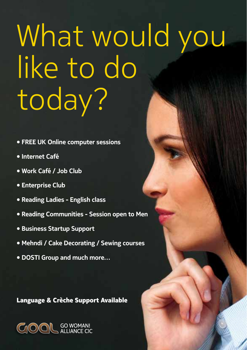# What would you like to do today?

- **• FREE UK Online computer sessions**
- **• Internet Café**
- **• Work Café / Job Club**
- **• Enterprise Club**
- **• Reading Ladies - English class**
- **• Reading Communities - Session open to Men**
- **• Business Startup Support**
- **• Mehndi / Cake Decorating / Sewing courses**
- **• DOSTI Group and much more…**

### **Language & Crèche Support Available**

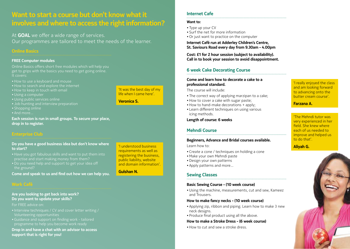## **Want to start a course but don't know what it involves and where to access the right information?**

At **GOAL** we offer a wide range of services. Our programmes are tailored to meet the needs of the learner.

#### **Online Basics**

#### **FREE Computer modules**

Online Basics offers short free modules which will help you get to grips with the basics you need to get going online. It covers:

- How to use a keyboard and mouse
- How to search and explore the internet
- How to keep in touch with email
- Using a computer
- Using public services online
- Job hunting and interview preparation
- Shopping online
- And more

**Each session is run in small groups. To secure your place, drop in to register.**

#### **Do you have a good business idea but don't know where to start?**

- Have you got fabulous skills and want to put them into practise and start making money from them?
- Do you need help and support to get your idea off the ground?

**Come and speak to us and find out how we can help you.**

#### **Are you looking to get back into work? Do you want to update your skills?**

#### For FREE advice on:

- Interview techniques / CV and cover letter writing / Volunteering opportunities
- Guidance and support on finding work tailored

**Drop in and have a chat with an advisor to access support that is right for you!**

'I understood business requirements as well as registering the business, public liability, website and domain information'.

'It was the best day of my life when I came here'.

**Veronica S.**

#### **Gulshan N.**

**Internet Cafe**

#### **Want to:**

- Type up your CV
- Surf the net for more information
- • Or just want to practice on the computer

**Internet Café run at Adderley Children's Centre, St. Saviours Road every day from 9.30am - 4.00pm**

**Cost: £1 for 2 hour session (subject to availability). Call in to book your session to avoid disappointment.**

#### **6 week Cake Decorating Course**

#### **Come and learn how to decorate a cake to a professional standard.**

The course will include:

- The correct way of applying marzipan to a cake:
- How to cover a cake with sugar paste;
- $\bullet$  How to hand-make decorations  $+$  apply;
- Learn different techniques on using various icing methods.

#### **Length of course: 6 weeks**

#### **Mehndi Course**

#### **Beginners, Advance and Bridal courses available.**

Learn how to:

- • Create a cone / techniques on holding a cone
- • Make your own Mehndi paste
- Design your own patterns
- • Apply patterns and more…

#### **Sewing Classes**

#### **Basic Sewing Course - (10 week course)**

• Using the machine, measurements, cut and sew, Kameez and Trousers.

#### **How to make fancy necks - (10 week course)**

- Applying zip, ribbon and piping. Learn how to make 3 new neck designs.
- Produce final product using all the above.

#### **How to make a Stroke Dress - (6 week course)**

• How to cut and sew a stroke dress.

'I really enjoyed the class and am looking forward to advancing onto the butter cream course'.

#### **Farzana A.**

'The Mehndi tutor was very experienced in her field. She knew where each of us needed to improve and helped us to do that'.

#### **Aliyah G.**